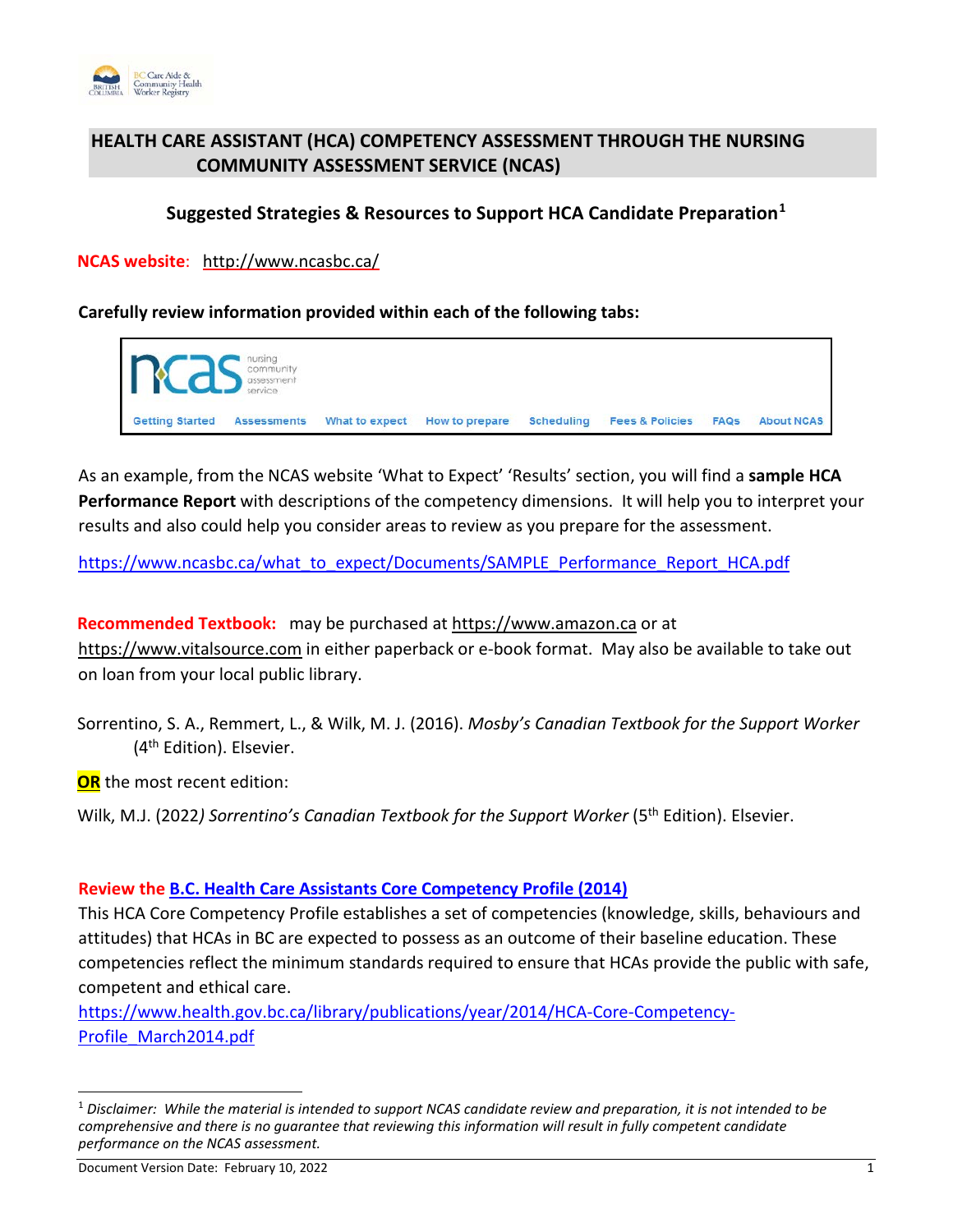

# **HEALTH CARE ASSISTANT (HCA) COMPETENCY ASSESSMENT THROUGH THE NURSING COMMUNITY ASSESSMENT SERVICE (NCAS)**

# **Suggested Strategies & Resources to Support HCA Candidate Preparation[1](#page-0-0)**

**NCAS website**: <http://www.ncasbc.ca/>

**Carefully review information provided within each of the following tabs:** 



As an example, from the NCAS website 'What to Expect' 'Results' section, you will find a **sample HCA Performance Report** with descriptions of the competency dimensions. It will help you to interpret your results and also could help you consider areas to review as you prepare for the assessment.

[https://www.ncasbc.ca/what\\_to\\_expect/Documents/SAMPLE\\_Performance\\_Report\\_HCA.pdf](https://www.ncasbc.ca/what_to_expect/Documents/SAMPLE_Performance_Report_HCA.pdf)

**Recommended Textbook:** may be purchased at [https://www.amazon.ca](https://www.amazon.ca/) or at [https://www.vitalsource.com](https://www.vitalsource.com/) in either paperback or e-book format. May also be available to take out on loan from your local public library.

Sorrentino, S. A., Remmert, L., & Wilk, M. J. (2016). *Mosby's Canadian Textbook for the Support Worker* (4<sup>th</sup> Edition). Elsevier.

**OR** the most recent edition:

Wilk, M.J. (2022) Sorrentino's Canadian Textbook for the Support Worker (5<sup>th</sup> Edition). Elsevier.

# **Review the [B.C. Health Care Assistants Core Competency Profile \(2014\)](https://www.cachwr.bc.ca/getattachment/About-the-Registry/Resources/HCA-Core-Competency-Profile_March2014-(2).pdf.aspx)**

This HCA Core Competency Profile establishes a set of competencies (knowledge, skills, behaviours and attitudes) that HCAs in BC are expected to possess as an outcome of their baseline education. These competencies reflect the minimum standards required to ensure that HCAs provide the public with safe, competent and ethical care.

[https://www.health.gov.bc.ca/library/publications/year/2014/HCA-Core-Competency-](https://www.health.gov.bc.ca/library/publications/year/2014/HCA-Core-Competency-Profile_March2014.pdf)[Profile\\_March2014.pdf](https://www.health.gov.bc.ca/library/publications/year/2014/HCA-Core-Competency-Profile_March2014.pdf)

 $\overline{a}$ 

<span id="page-0-0"></span><sup>1</sup> *Disclaimer: While the material is intended to support NCAS candidate review and preparation, it is not intended to be comprehensive and there is no guarantee that reviewing this information will result in fully competent candidate performance on the NCAS assessment.*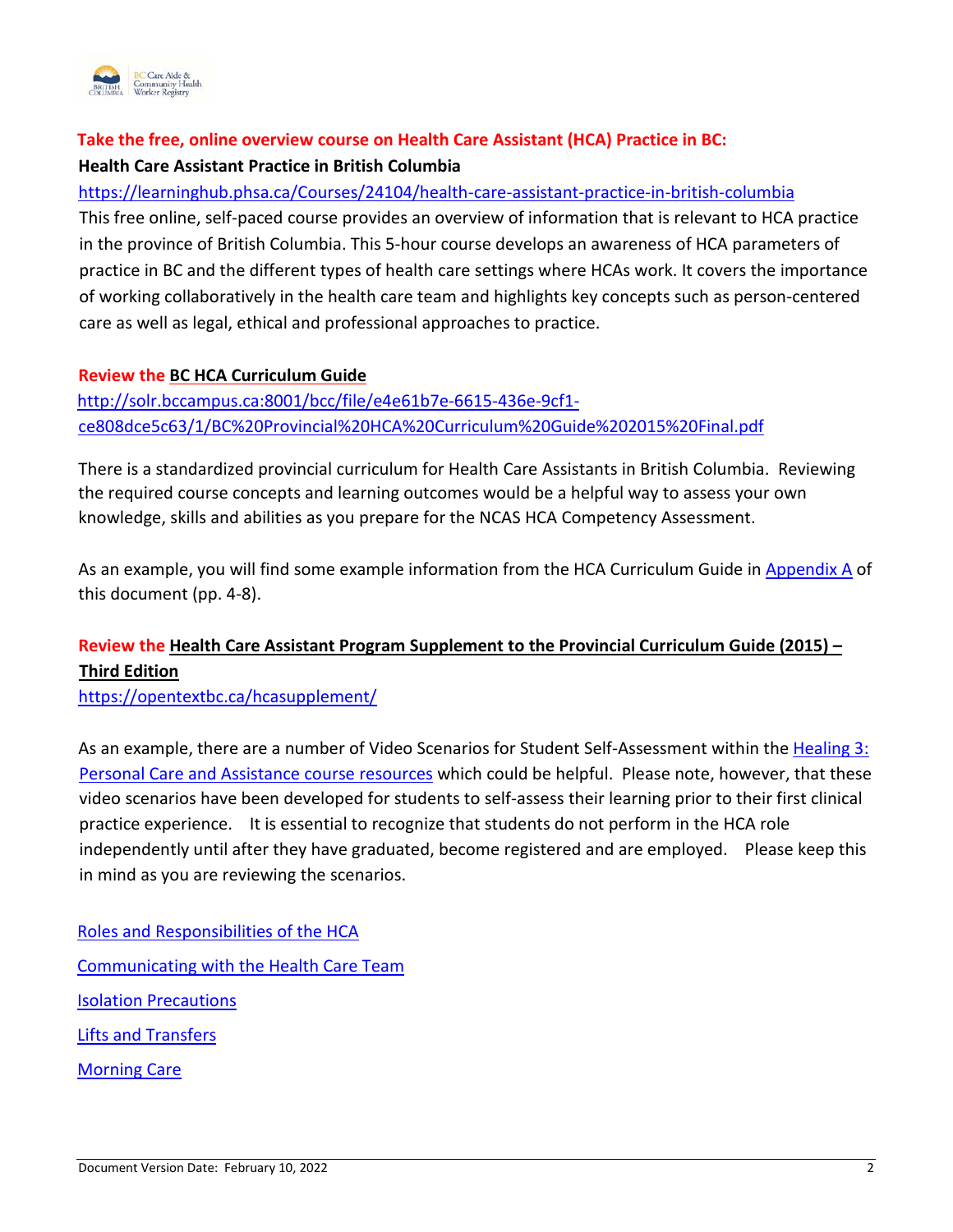

# **Take the free, online overview course on Health Care Assistant (HCA) Practice in BC: [Health Care Assistant Practice in British Columbia](https://learninghub.phsa.ca/Courses/24104/health-care-assistant-practice-in-british-columbia)**

## <https://learninghub.phsa.ca/Courses/24104/health-care-assistant-practice-in-british-columbia>

This free online, self-paced course provides an overview of information that is relevant to HCA practice in the province of British Columbia. This 5-hour course develops an awareness of HCA parameters of practice in BC and the different types of health care settings where HCAs work. It covers the importance of working collaboratively in the health care team and highlights key concepts such as person-centered care as well as legal, ethical and professional approaches to practice.

# **Review the [BC HCA Curriculum Guide](http://solr.bccampus.ca:8001/bcc/file/e4e61b7e-6615-436e-9cf1-ce808dce5c63/1/BC%20Provincial%20HCA%20Curriculum%20Guide%202015%20Final.pdf)**

[http://solr.bccampus.ca:8001/bcc/file/e4e61b7e-6615-436e-9cf1](http://solr.bccampus.ca:8001/bcc/file/e4e61b7e-6615-436e-9cf1-ce808dce5c63/1/BC%20Provincial%20HCA%20Curriculum%20Guide%202015%20Final.pdf) [ce808dce5c63/1/BC%20Provincial%20HCA%20Curriculum%20Guide%202015%20Final.pdf](http://solr.bccampus.ca:8001/bcc/file/e4e61b7e-6615-436e-9cf1-ce808dce5c63/1/BC%20Provincial%20HCA%20Curriculum%20Guide%202015%20Final.pdf)

There is a standardized provincial curriculum for Health Care Assistants in British Columbia. Reviewing the required course concepts and learning outcomes would be a helpful way to assess your own knowledge, skills and abilities as you prepare for the NCAS HCA Competency Assessment.

As an example, you will find some example information from the HCA Curriculum Guide in [Appendix A](#page-3-0) of this document (pp. 4-8).

# **Review the [Health Care Assistant Program Supplement to the Provincial Curriculum Guide \(2015\) –](https://opentextbc.ca/hcasupplement/) [Third Edition](https://opentextbc.ca/hcasupplement/)**

<https://opentextbc.ca/hcasupplement/>

As an example, there are a number of Video Scenarios for Student Self-Assessment within th[e Healing 3:](https://opentextbc.ca/hcasupplement/chapter/healing-3-personal-care-and-assistance/)  [Personal Care and Assistance course resources](https://opentextbc.ca/hcasupplement/chapter/healing-3-personal-care-and-assistance/) which could be helpful. Please note, however, that these video scenarios have been developed for students to self-assess their learning prior to their first clinical practice experience. It is essential to recognize that students do not perform in the HCA role independently until after they have graduated, become registered and are employed. Please keep this in mind as you are reviewing the scenarios.

[Roles and Responsibilities of the HCA](https://opentextbc.ca/hcaroles/chapter/about-this-video-scenario/) [Communicating with the Health Care Team](https://opentextbc.ca/hcacommunicate/chapter/about-this-video-scenario/) [Isolation Precautions](https://opentextbc.ca/hcaisolation/chapter/about-this-video-scenario/) [Lifts and Transfers](https://opentextbc.ca/hcatransfers/chapter/about-this-video-scenario/) [Morning Care](https://opentextbc.ca/hcamorningcare/chapter/about-this-video-scenario/)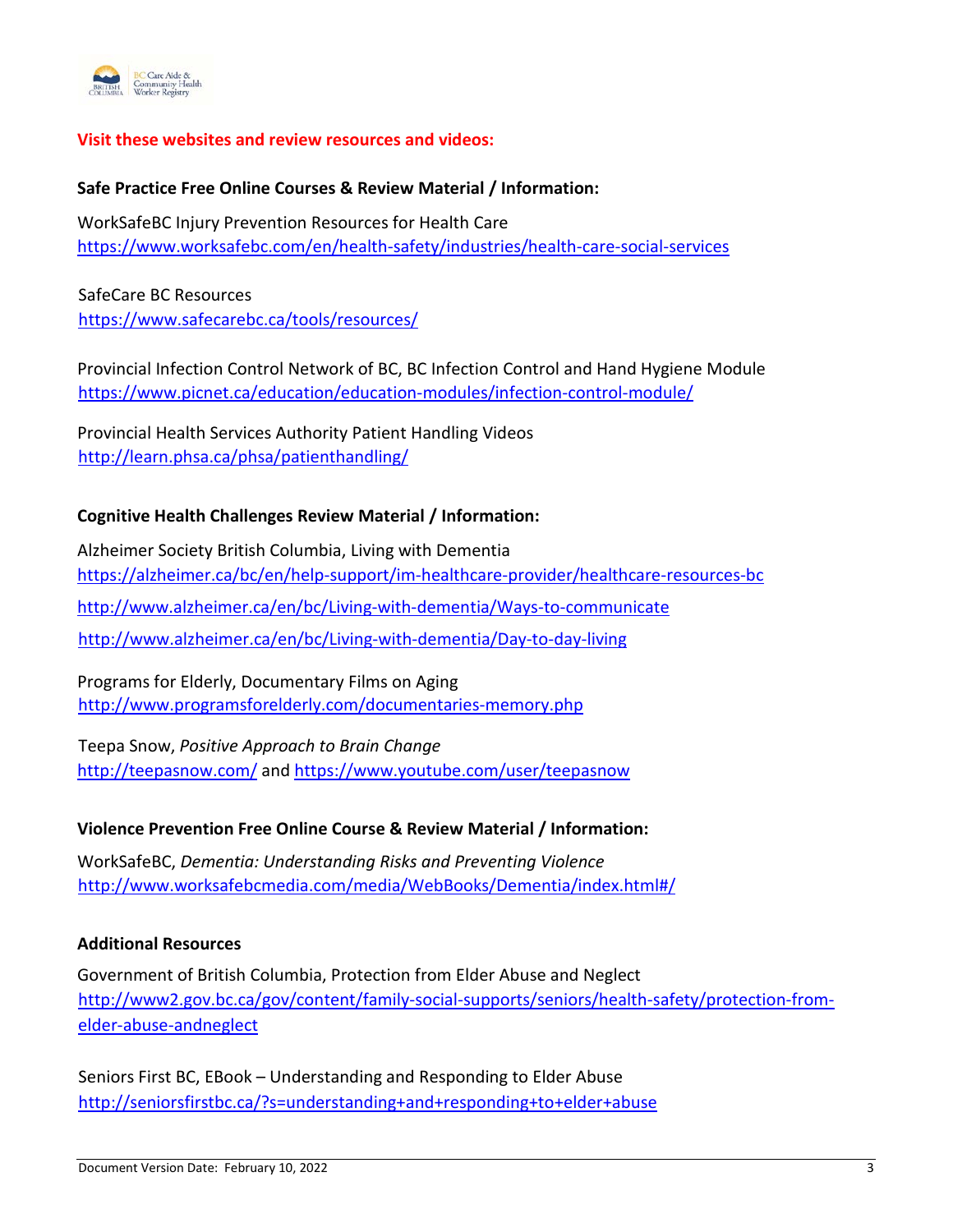

## **Visit these websites and review resources and videos:**

### **Safe Practice Free Online Courses & Review Material / Information:**

WorkSafeBC Injury Prevention Resources for Health Care <https://www.worksafebc.com/en/health-safety/industries/health-care-social-services>

SafeCare BC Resources <https://www.safecarebc.ca/tools/resources/>

Provincial Infection Control Network of BC, BC Infection Control and Hand Hygiene Module <https://www.picnet.ca/education/education-modules/infection-control-module/>

Provincial Health Services Authority Patient Handling Videos <http://learn.phsa.ca/phsa/patienthandling/>

#### **Cognitive Health Challenges Review Material / Information:**

Alzheimer Society British Columbia, Living with Dementia <https://alzheimer.ca/bc/en/help-support/im-healthcare-provider/healthcare-resources-bc> <http://www.alzheimer.ca/en/bc/Living-with-dementia/Ways-to-communicate> <http://www.alzheimer.ca/en/bc/Living-with-dementia/Day-to-day-living>

Programs for Elderly, Documentary Films on Aging <http://www.programsforelderly.com/documentaries-memory.php>

Teepa Snow, *Positive Approach to Brain Change*  <http://teepasnow.com/> and<https://www.youtube.com/user/teepasnow>

#### **Violence Prevention Free Online Course & Review Material / Information:**

WorkSafeBC, *Dementia: Understanding Risks and Preventing Violence*  <http://www.worksafebcmedia.com/media/WebBooks/Dementia/index.html#/>

#### **Additional Resources**

Government of British Columbia, Protection from Elder Abuse and Neglect [http://www2.gov.bc.ca/gov/content/family-social-supports/seniors/health-safety/protection-from](http://www2.gov.bc.ca/gov/content/family-social-supports/seniors/health-safety/protection-from-elder-abuse-and-neglect)[elder-abuse-andneglect](http://www2.gov.bc.ca/gov/content/family-social-supports/seniors/health-safety/protection-from-elder-abuse-and-neglect)

Seniors First BC, EBook – Understanding and Responding to Elder Abuse <http://seniorsfirstbc.ca/?s=understanding+and+responding+to+elder+abuse>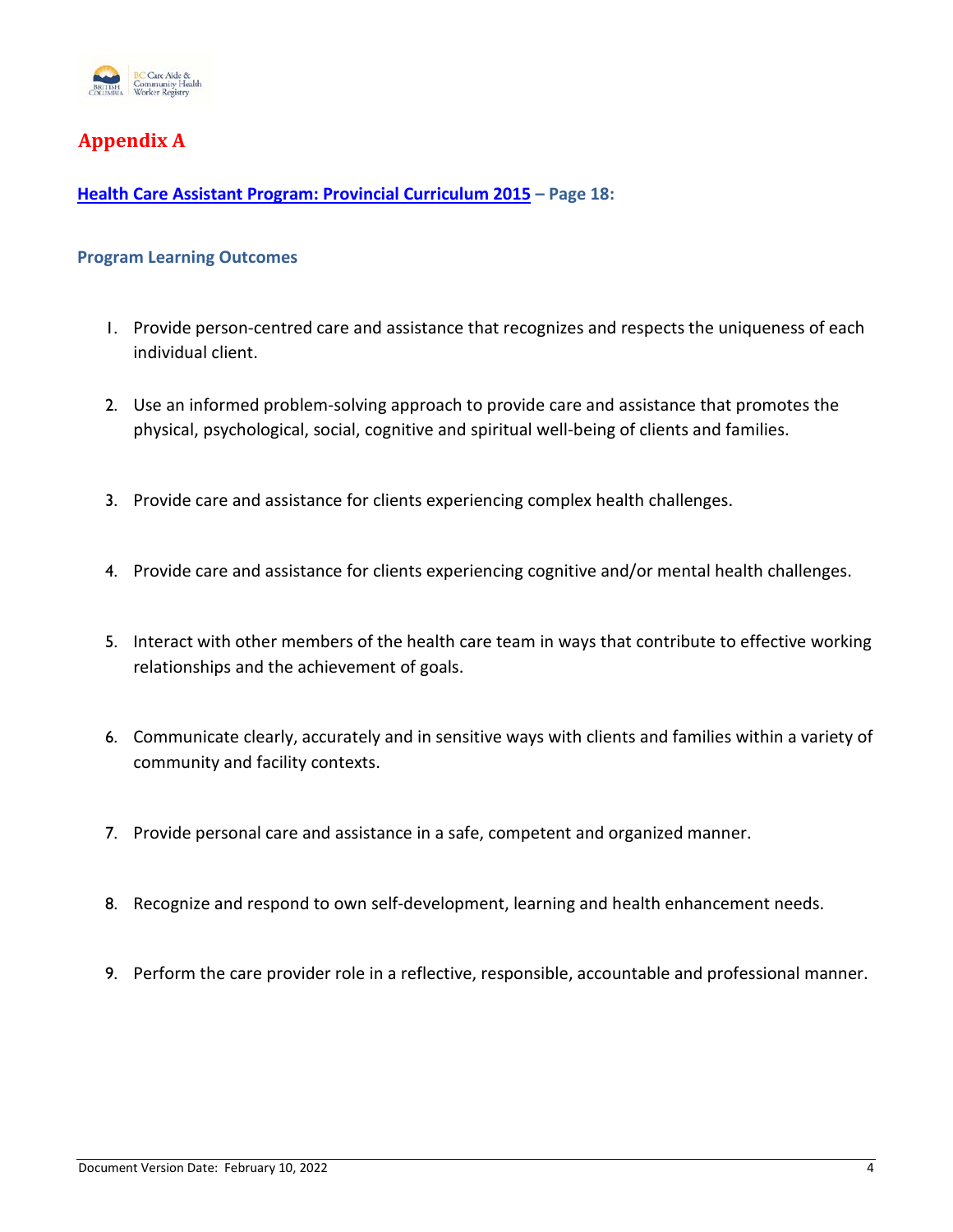

# <span id="page-3-0"></span>**Appendix A**

**[Health Care Assistant Program: Provincial Curriculum 2015](http://solr.bccampus.ca:8001/bcc/file/e4e61b7e-6615-436e-9cf1-ce808dce5c63/1/BC%20Provincial%20HCA%20Curriculum%20Guide%202015%20Final.pdf) – Page 18:**

### **Program Learning Outcomes**

- 1. Provide person-centred care and assistance that recognizes and respects the uniqueness of each individual client.
- 2. Use an informed problem-solving approach to provide care and assistance that promotes the physical, psychological, social, cognitive and spiritual well-being of clients and families.
- 3. Provide care and assistance for clients experiencing complex health challenges.
- 4. Provide care and assistance for clients experiencing cognitive and/or mental health challenges.
- 5. Interact with other members of the health care team in ways that contribute to effective working relationships and the achievement of goals.
- 6. Communicate clearly, accurately and in sensitive ways with clients and families within a variety of community and facility contexts.
- 7. Provide personal care and assistance in a safe, competent and organized manner.
- 8. Recognize and respond to own self-development, learning and health enhancement needs.
- 9. Perform the care provider role in a reflective, responsible, accountable and professional manner.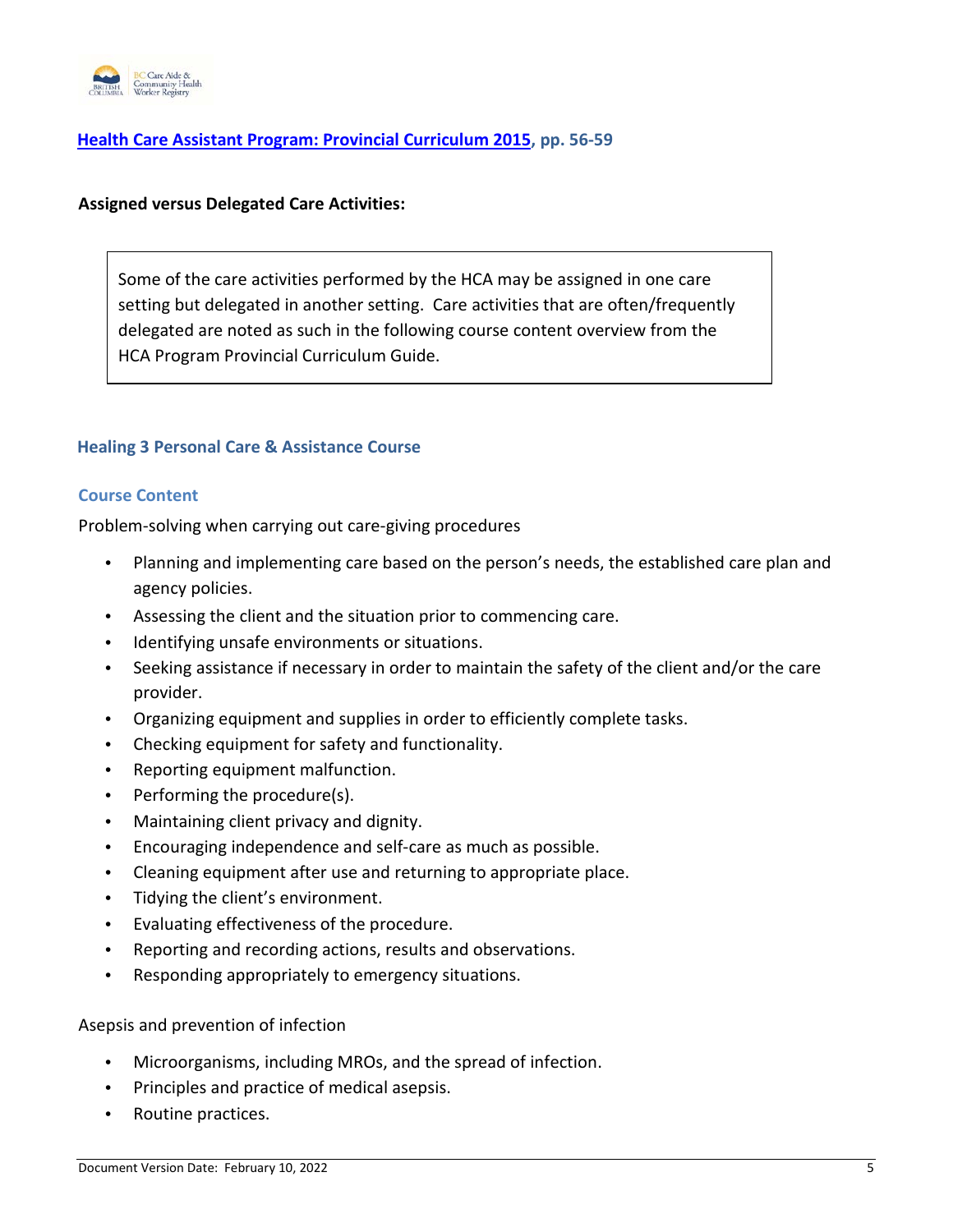

## **[Health Care Assistant Program: Provincial Curriculum 2015,](http://solr.bccampus.ca:8001/bcc/file/e4e61b7e-6615-436e-9cf1-ce808dce5c63/1/BC%20Provincial%20HCA%20Curriculum%20Guide%202015%20Final.pdf) pp. 56-59**

#### **Assigned versus Delegated Care Activities:**

Some of the care activities performed by the HCA may be assigned in one care setting but delegated in another setting. Care activities that are often/frequently delegated are noted as such in the following course content overview from the HCA Program Provincial Curriculum Guide.

#### **Healing 3 Personal Care & Assistance Course**

#### **Course Content**

Problem-solving when carrying out care-giving procedures

- Planning and implementing care based on the person's needs, the established care plan and agency policies.
- Assessing the client and the situation prior to commencing care.
- Identifying unsafe environments or situations.
- Seeking assistance if necessary in order to maintain the safety of the client and/or the care provider.
- Organizing equipment and supplies in order to efficiently complete tasks.
- Checking equipment for safety and functionality.
- Reporting equipment malfunction.
- Performing the procedure(s).
- Maintaining client privacy and dignity.
- Encouraging independence and self-care as much as possible.
- Cleaning equipment after use and returning to appropriate place.
- Tidying the client's environment.
- Evaluating effectiveness of the procedure.
- Reporting and recording actions, results and observations.
- Responding appropriately to emergency situations.

Asepsis and prevention of infection

- Microorganisms, including MROs, and the spread of infection.
- Principles and practice of medical asepsis.
- Routine practices.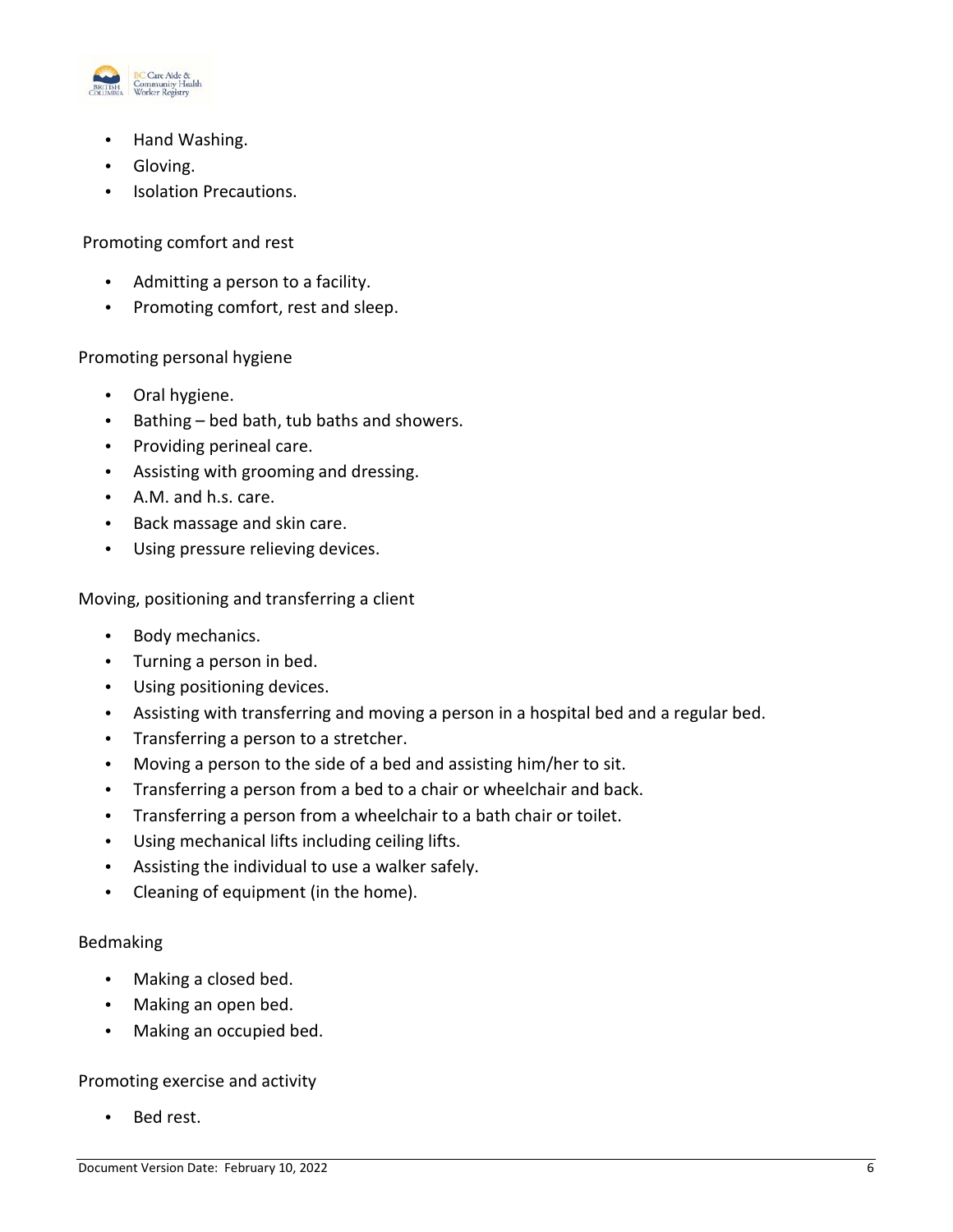

- Hand Washing.
- Gloving.
- Isolation Precautions.

Promoting comfort and rest

- Admitting a person to a facility.
- Promoting comfort, rest and sleep.

### Promoting personal hygiene

- Oral hygiene.
- Bathing bed bath, tub baths and showers.
- Providing perineal care.
- Assisting with grooming and dressing.
- A.M. and h.s. care.
- Back massage and skin care.
- Using pressure relieving devices.

Moving, positioning and transferring a client

- Body mechanics.
- Turning a person in bed.
- Using positioning devices.
- Assisting with transferring and moving a person in a hospital bed and a regular bed.
- Transferring a person to a stretcher.
- Moving a person to the side of a bed and assisting him/her to sit.
- Transferring a person from a bed to a chair or wheelchair and back.
- Transferring a person from a wheelchair to a bath chair or toilet.
- Using mechanical lifts including ceiling lifts.
- Assisting the individual to use a walker safely.
- Cleaning of equipment (in the home).

### Bedmaking

- Making a closed bed.
- Making an open bed.
- Making an occupied bed.

### Promoting exercise and activity

Bed rest.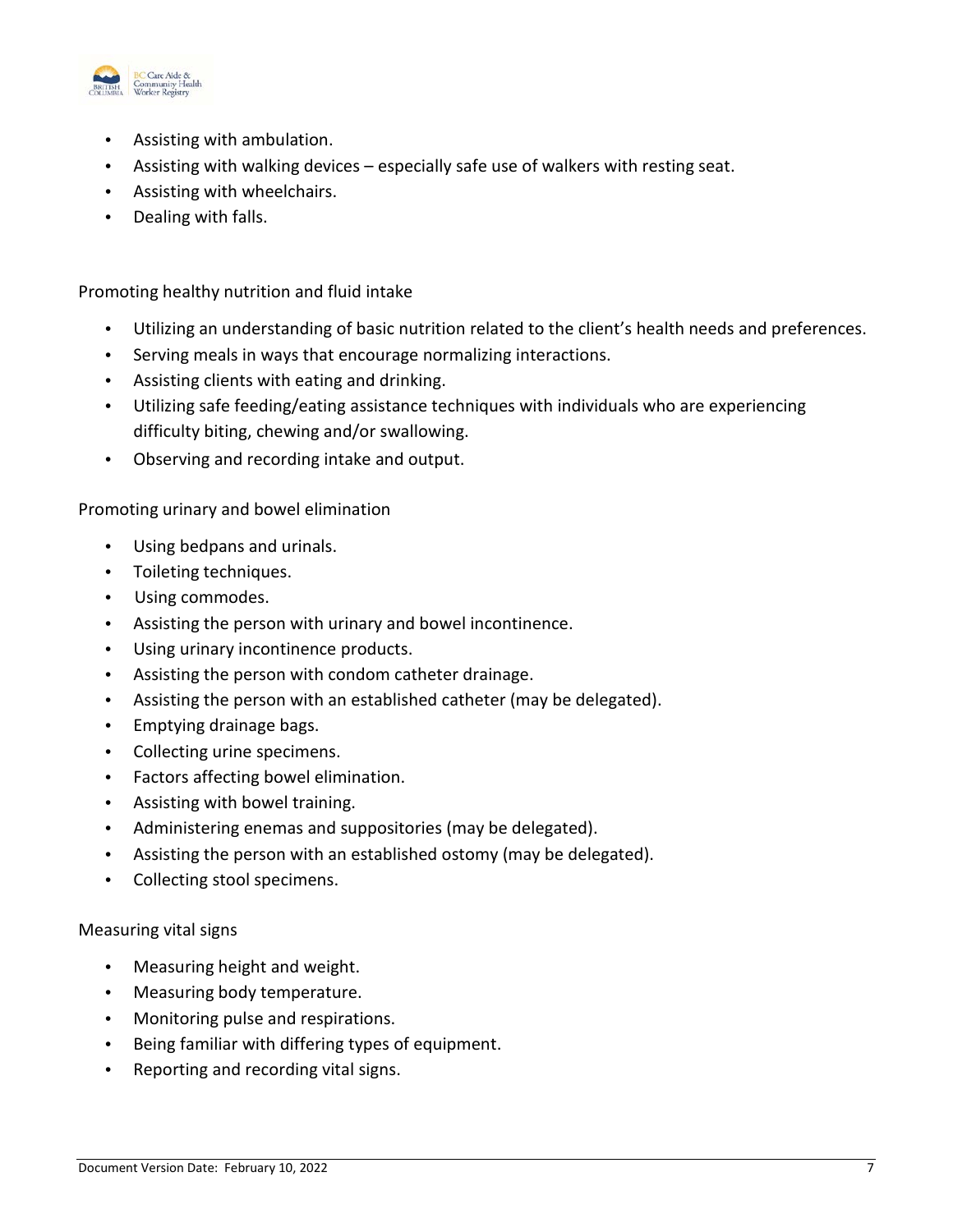

- Assisting with ambulation.
- Assisting with walking devices especially safe use of walkers with resting seat.
- Assisting with wheelchairs.
- Dealing with falls.

Promoting healthy nutrition and fluid intake

- Utilizing an understanding of basic nutrition related to the client's health needs and preferences.
- Serving meals in ways that encourage normalizing interactions.
- Assisting clients with eating and drinking.
- Utilizing safe feeding/eating assistance techniques with individuals who are experiencing difficulty biting, chewing and/or swallowing.
- Observing and recording intake and output.

Promoting urinary and bowel elimination

- Using bedpans and urinals.
- Toileting techniques.
- Using commodes.
- Assisting the person with urinary and bowel incontinence.
- Using urinary incontinence products.
- Assisting the person with condom catheter drainage.
- Assisting the person with an established catheter (may be delegated).
- Emptying drainage bags.
- Collecting urine specimens.
- Factors affecting bowel elimination.
- Assisting with bowel training.
- Administering enemas and suppositories (may be delegated).
- Assisting the person with an established ostomy (may be delegated).
- Collecting stool specimens.

Measuring vital signs

- Measuring height and weight.
- Measuring body temperature.
- Monitoring pulse and respirations.
- Being familiar with differing types of equipment.
- Reporting and recording vital signs.